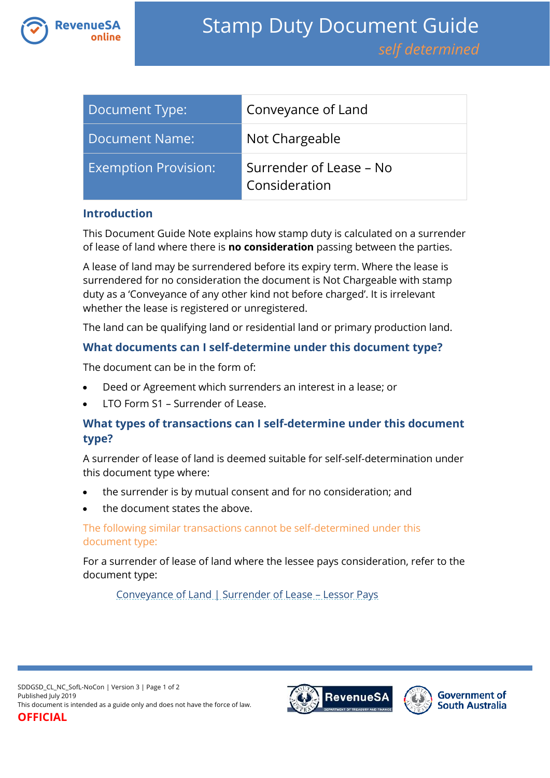

| Document Type:              | Conveyance of Land                       |
|-----------------------------|------------------------------------------|
| Document Name:              | Not Chargeable                           |
| <b>Exemption Provision:</b> | Surrender of Lease – No<br>Consideration |

### **Introduction**

This Document Guide Note explains how stamp duty is calculated on a surrender of lease of land where there is **no consideration** passing between the parties.

A lease of land may be surrendered before its expiry term. Where the lease is surrendered for no consideration the document is Not Chargeable with stamp duty as a 'Conveyance of any other kind not before charged'. It is irrelevant whether the lease is registered or unregistered.

The land can be qualifying land or residential land or primary production land.

### **What documents can I self-determine under this document type?**

The document can be in the form of:

- Deed or Agreement which surrenders an interest in a lease; or
- LTO Form S1 Surrender of Lease.

## **What types of transactions can I self-determine under this document type?**

A surrender of lease of land is deemed suitable for self-self-determination under this document type where:

- the surrender is by mutual consent and for no consideration; and
- the document states the above.

### The following similar transactions cannot be self-determined under this document type:

For a surrender of lease of land where the lessee pays consideration, refer to the document type:

[Conveyance of Land | Surrender of Lease](https://www.revenuesa.sa.gov.au/stampduty/stamp-duty-document-guide/self-determined/conveyance-of-land/sddgsd_cl_sofl_rpp) – Lessor Pays